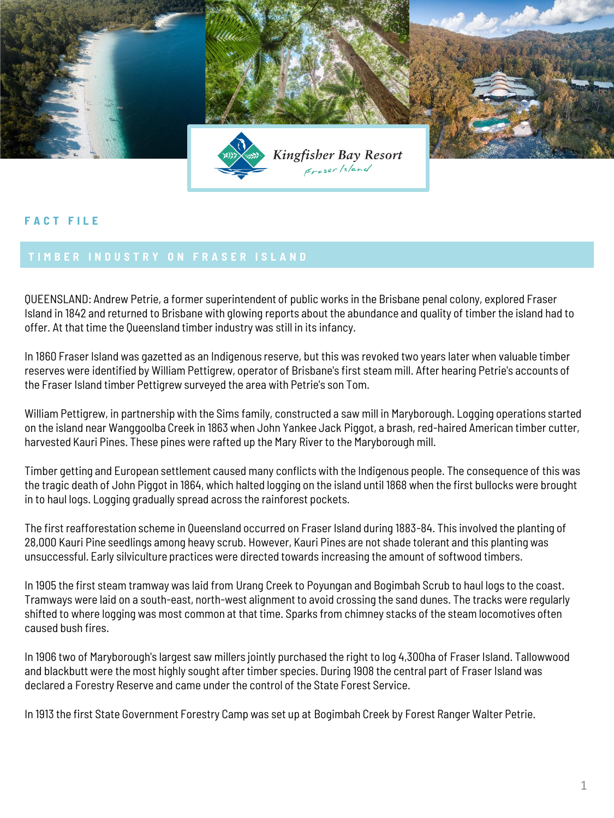

## **F A C T F I L E**

QUEENSLAND: Andrew Petrie, a former superintendent of public works in the Brisbane penal colony, explored Fraser Island in 1842 and returned to Brisbane with glowing reports about the abundance and quality of timber the island had to offer. At that time the Queensland timber industry was still in its infancy.

In 1860 Fraser Island was gazetted as an Indigenous reserve, but this was revoked two years later when valuable timber reserves were identified by William Pettigrew, operator of Brisbane's first steam mill. After hearing Petrie's accounts of the Fraser Island timber Pettigrew surveyed the area with Petrie's son Tom.

William Pettigrew, in partnership with the Sims family, constructed a saw mill in Maryborough. Logging operations started on the island near Wanggoolba Creek in 1863 when John Yankee Jack Piggot, a brash, red-haired American timber cutter, harvested Kauri Pines. These pines were rafted up the Mary River to the Maryborough mill.

Timber getting and European settlement caused many conflicts with the Indigenous people. The consequence of this was the tragic death of John Piggot in 1864, which halted logging on the island until 1868 when the first bullocks were brought in to haul logs. Logging gradually spread across the rainforest pockets.

The first reafforestation scheme in Queensland occurred on Fraser Island during 1883-84. This involved the planting of 28,000 Kauri Pine seedlings among heavy scrub. However, Kauri Pines are not shade tolerant and this planting was unsuccessful. Early silviculture practices were directed towards increasing the amount of softwood timbers.

In 1905 the first steam tramway was laid from Urang Creek to Poyungan and Bogimbah Scrub to haul logs to the coast. Tramways were laid on a south-east, north-west alignment to avoid crossing the sand dunes. The tracks were regularly shifted to where logging was most common at that time. Sparks from chimney stacks of the steam locomotives often caused bush fires.

In 1906 two of Maryborough's largest saw millers jointly purchased the right to log 4,300ha of Fraser Island. Tallowwood and blackbutt were the most highly sought after timber species. During 1908 the central part of Fraser Island was declared a Forestry Reserve and came under the control of the State Forest Service.

In 1913 the first State Government Forestry Camp was set up at Bogimbah Creek by Forest Ranger Walter Petrie.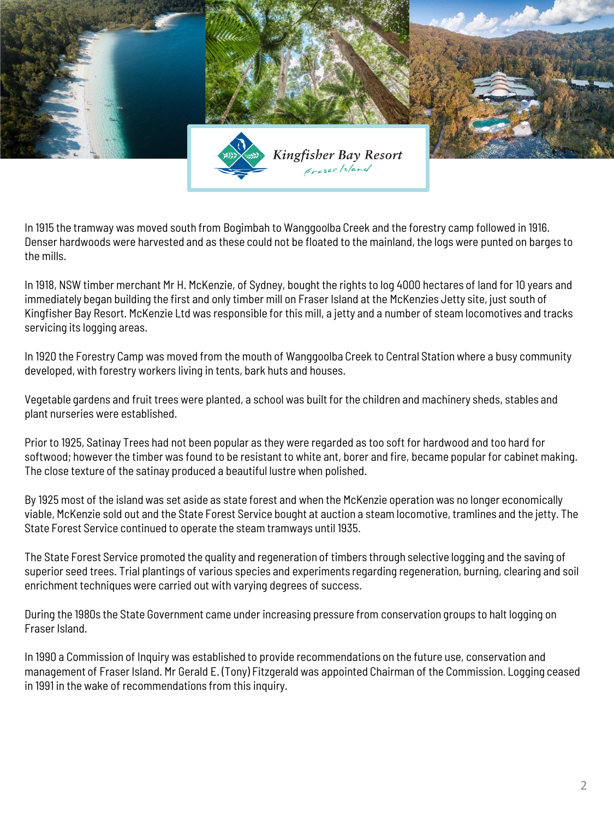

In 1915 the tramway was moved south from Bogimbah to Wanggoolba Creek and the forestry camp followed in 1916. Denser hardwoods were harvested and as these could not be floated to the mainland, the logs were punted on barges to the mills.

In 1918, NSW timber merchant Mr H. McKenzie, of Sydney, bought the rights to log 4000 hectares of land for 10 years and immediately began building the first and only timber mill on Fraser Island at the McKenzies Jetty site, just south of Kingfisher Bay Resort. McKenzie Ltd was responsible for this mill, a jetty and a number of steam locomotives and tracks servicing its logging areas.

In 1920 the Forestry Camp was moved from the mouth of Wanggoolba Creek to Central Station where a busy community developed, with forestry workers living in tents, bark huts and houses.

Vegetable gardens and fruit trees were planted, a school was built for the children and machinery sheds, stables and plant nurseries were established.

Prior to 1925, Satinay Trees had not been popular as they were regarded as too soft for hardwood and too hard for softwood; however the timber was found to be resistant to white ant, borer and fire, became popular for cabinet making. The close texture of the satinay produced a beautiful lustre when polished.

By 1925 most of the island was set aside as state forest and when the McKenzie operation was no longer economically viable, McKenzie sold out and the State Forest Service bought at auction a steam locomotive, tramlines and the jetty. The State Forest Service continued to operate the steam tramways until 1935.

The State Forest Service promoted the quality and regeneration of timbers through selective logging and the saving of superior seed trees. Trial plantings of various species and experiments regarding regeneration, burning, clearing and soil enrichment techniques were carried out with varying degrees of success.

During the 1980s the State Government came under increasing pressure from conservation groups to halt logging on Fraser Island.

In 1990 a Commission of Inquiry was established to provide recommendations on the future use, conservation and management of Fraser Island. Mr Gerald E. (Tony) Fitzgerald was appointed Chairman of the Commission. Logging ceased in 1991 in the wake of recommendations from this inquiry.